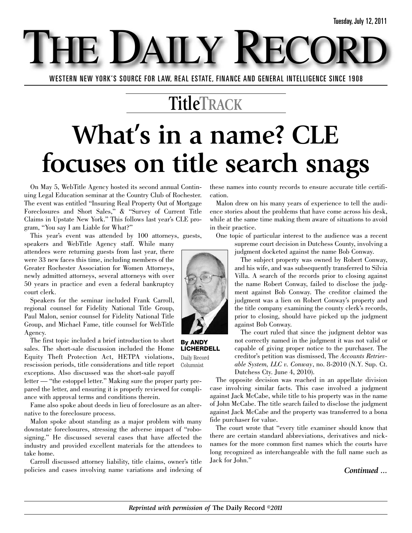WESTERN NEW YORK'S SOURCE FOR LAW, REAL ESTATE, FINANCE AND GENERAL INTELLIGENCE SINCE 1908

E DAILY

### **TitleTRACK**

## **What's in a name? CLE focuses on title search snags**

On May 5, WebTitle Agency hosted its second annual Continuing Legal Education seminar at the Country Club of Rochester. The event was entitled "Insuring Real Property Out of Mortgage Foreclosures and Short Sales," & "Survey of Current Title Claims in Upstate New York." This follows last year's CLE program, "You say I am Liable for What?"

This year's event was attended by 100 attorneys, guests,

speakers and WebTitle Agency staff. While many attendees were returning guests from last year, there were 33 new faces this time, including members of the Greater Rochester Association for Women Attorneys, newly admitted attorneys, several attorneys with over 50 years in practice and even a federal bankruptcy court clerk.

Speakers for the seminar included Frank Carroll, regional counsel for Fidelity National Title Group, Paul Malon, senior counsel for Fidelity National Title Group, and Michael Fame, title counsel for WebTitle Agency.

The first topic included a brief introduction to short sales. The short-sale discussion included the Home Equity Theft Protection Act, HETPA violations, rescission periods, title considerations and title report exceptions. Also discussed was the short-sale payoff

letter — "the estoppel letter." Making sure the proper party prepared the letter, and ensuring it is properly reviewed for compliance with approval terms and conditions therein.

Fame also spoke about deeds in lieu of foreclosure as an alternative to the foreclosure process.

Malon spoke about standing as a major problem with many downstate foreclosures, stressing the adverse impact of "robosigning." He discussed several cases that have affected the industry and provided excellent materials for the attendees to take home.

Carroll discussed attorney liability, title claims, owner's title policies and cases involving name variations and indexing of

these names into county records to ensure accurate title certification.

Malon drew on his many years of experience to tell the audience stories about the problems that have come across his desk, while at the same time making them aware of situations to avoid in their practice.

One topic of particular interest to the audience was a recent supreme court decision in Dutchess County, involving a judgment docketed against the name Bob Conway.

> The subject property was owned by Robert Conway, and his wife, and was subsequently transferred to Silvia Villa. A search of the records prior to closing against the name Robert Conway, failed to disclose the judgment against Bob Conway. The creditor claimed the judgment was a lien on Robert Conway's property and the title company examining the county clerk's records, prior to closing, should have picked up the judgment against Bob Conway.

> The court ruled that since the judgment debtor was not correctly named in the judgment it was not valid or capable of giving proper notice to the purchaser. The creditor's petition was dismissed, The *Accounts Retrievable System, LLC v. Conway*, no. 8-2010 (N.Y. Sup. Ct. Dutchess Cty. June 4, 2010).

The opposite decision was reached in an appellate division case involving similar facts. This case involved a judgment against Jack McCabe, while title to his property was in the name of John McCabe. The title search failed to disclose the judgment against Jack McCabe and the property was transferred to a bona fide purchaser for value.

The court wrote that "every title examiner should know that there are certain standard abbreviations, derivatives and nicknames for the more common first names which the courts have long recognized as interchangeable with the full name such as Jack for John."

*Continued ...*



**By ANDY LICHERDELL**

Daily Record Columnist